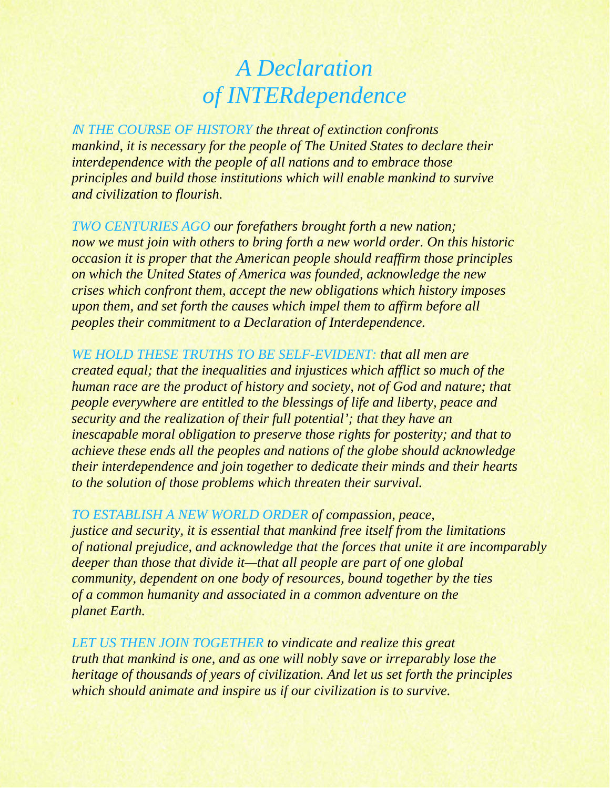## *A Declaration of INTERdependence*

<sup>I</sup>*N THE COURSE OF HISTORY the threat of extinction confronts mankind, it is necessary for the people of The United States to declare their interdependence with the people of all nations and to embrace those principles and build those institutions which will enable mankind to survive and civilization to flourish.* 

*TWO CENTURIES AGO our forefathers brought forth a new nation; now we must join with others to bring forth a new world order. On this historic occasion it is proper that the American people should reaffirm those principles on which the United States of America was founded, acknowledge the new crises which confront them, accept the new obligations which history imposes upon them, and set forth the causes which impel them to affirm before all peoples their commitment to a Declaration of Interdependence.* 

*WE HOLD THESE TRUTHS TO BE SELF-EVIDENT: that all men are created equal; that the inequalities and injustices which afflict so much of the human race are the product of history and society, not of God and nature; that people everywhere are entitled to the blessings of life and liberty, peace and security and the realization of their full potential'; that they have an inescapable moral obligation to preserve those rights for posterity; and that to achieve these ends all the peoples and nations of the globe should acknowledge their interdependence and join together to dedicate their minds and their hearts to the solution of those problems which threaten their survival.* 

*TO ESTABLISH A NEW WORLD ORDER of compassion, peace, justice and security, it is essential that mankind free itself from the limitations of national prejudice, and acknowledge that the forces that unite it are incomparably deeper than those that divide it—that all people are part of one global community, dependent on one body of resources, bound together by the ties of a common humanity and associated in a common adventure on the planet Earth.* 

*LET US THEN JOIN TOGETHER to vindicate and realize this great truth that mankind is one, and as one will nobly save or irreparably lose the heritage of thousands of years of civilization. And let us set forth the principles which should animate and inspire us if our civilization is to survive.*